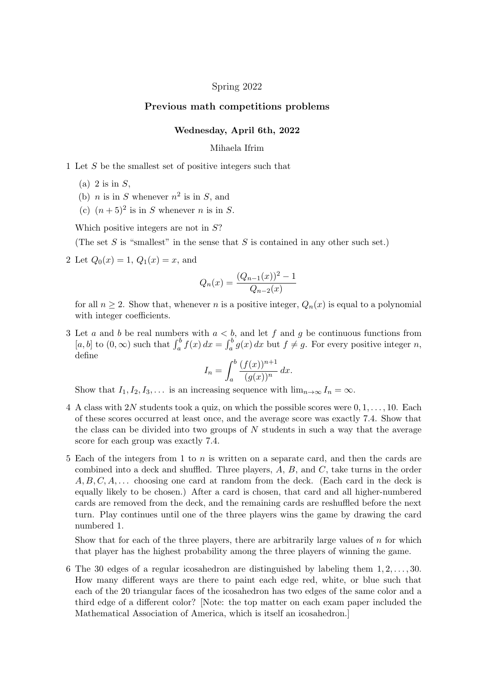## Spring 2022

## Previous math competitions problems

## Wednesday, April 6th, 2022

## Mihaela Ifrim

1 Let *S* be the smallest set of positive integers such that

- (a) 2 is in *S*,
- (b) *n* is in *S* whenever  $n^2$  is in *S*, and
- (c)  $(n+5)^2$  is in *S* whenever *n* is in *S*.

Which positive integers are not in *S*?

(The set *S* is "smallest" in the sense that *S* is contained in any other such set.)

2 Let  $Q_0(x) = 1, Q_1(x) = x$ , and

$$
Q_n(x) = \frac{(Q_{n-1}(x))^2 - 1}{Q_{n-2}(x)}
$$

for all  $n \geq 2$ . Show that, whenever *n* is a positive integer,  $Q_n(x)$  is equal to a polynomial with integer coefficients.

3 Let *a* and *b* be real numbers with  $a < b$ , and let *f* and *g* be continuous functions from  $[a, b]$  to  $(0, \infty)$  such that  $\int_a^b f(x) dx = \int_a^b g(x) dx$  but  $f \neq g$ . For every positive integer *n*, define

$$
I_n = \int_a^b \frac{(f(x))^{n+1}}{(g(x))^n} dx.
$$

Show that  $I_1, I_2, I_3, \ldots$  is an increasing sequence with  $\lim_{n\to\infty} I_n = \infty$ .

- 4 A class with 2*N* students took a quiz, on which the possible scores were 0*,* 1*,...,* 10. Each of these scores occurred at least once, and the average score was exactly 7*.*4. Show that the class can be divided into two groups of *N* students in such a way that the average score for each group was exactly 7*.*4.
- 5 Each of the integers from 1 to *n* is written on a separate card, and then the cards are combined into a deck and shuffled. Three players,  $A, B$ , and  $C$ , take turns in the order *A, B, C, A, . . .* choosing one card at random from the deck. (Each card in the deck is equally likely to be chosen.) After a card is chosen, that card and all higher-numbered cards are removed from the deck, and the remaining cards are reshuffled before the next turn. Play continues until one of the three players wins the game by drawing the card numbered 1.

Show that for each of the three players, there are arbitrarily large values of *n* for which that player has the highest probability among the three players of winning the game.

6 The 30 edges of a regular icosahedron are distinguished by labeling them 1*,* 2*,...,* 30. How many different ways are there to paint each edge red, white, or blue such that each of the 20 triangular faces of the icosahedron has two edges of the same color and a third edge of a different color? [Note: the top matter on each exam paper included the Mathematical Association of America, which is itself an icosahedron.]